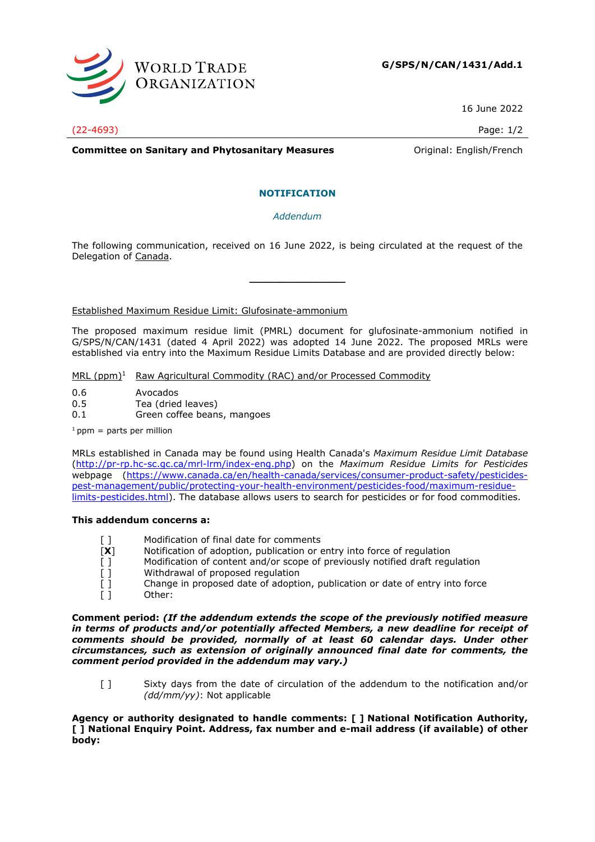

16 June 2022

(22-4693) Page: 1/2

**Committee on Sanitary and Phytosanitary Measures Committee on Sanitary and Phytosanitary Measures Committee Original:** English/French

## **NOTIFICATION**

*Addendum*

The following communication, received on 16 June 2022, is being circulated at the request of the Delegation of Canada.

**\_\_\_\_\_\_\_\_\_\_\_\_\_\_\_**

Established Maximum Residue Limit: Glufosinate-ammonium

The proposed maximum residue limit (PMRL) document for glufosinate-ammonium notified in G/SPS/N/CAN/1431 (dated 4 April 2022) was adopted 14 June 2022. The proposed MRLs were established via entry into the Maximum Residue Limits Database and are provided directly below:

MRL (ppm)<sup>1</sup> Raw Agricultural Commodity (RAC) and/or Processed Commodity

- 0.6 Avocados
- 0.5 Tea (dried leaves)
- 0.1 Green coffee beans, mangoes

 $1$  ppm = parts per million

MRLs established in Canada may be found using Health Canada's *Maximum Residue Limit Database* [\(http://pr-rp.hc-sc.gc.ca/mrl-lrm/index-eng.php\)](http://pr-rp.hc-sc.gc.ca/mrl-lrm/index-eng.php) on the *Maximum Residue Limits for Pesticides*  webpage [\(https://www.canada.ca/en/health-canada/services/consumer-product-safety/pesticides](https://www.canada.ca/en/health-canada/services/consumer-product-safety/pesticides-pest-management/public/protecting-your-health-environment/pesticides-food/maximum-residue-limits-pesticides.html)[pest-management/public/protecting-your-health-environment/pesticides-food/maximum-residue](https://www.canada.ca/en/health-canada/services/consumer-product-safety/pesticides-pest-management/public/protecting-your-health-environment/pesticides-food/maximum-residue-limits-pesticides.html)[limits-pesticides.html\)](https://www.canada.ca/en/health-canada/services/consumer-product-safety/pesticides-pest-management/public/protecting-your-health-environment/pesticides-food/maximum-residue-limits-pesticides.html). The database allows users to search for pesticides or for food commodities.

## **This addendum concerns a:**

- [ ] Modification of final date for comments
- 
- [**X**] Notification of adoption, publication or entry into force of regulation [] Modification of content and/or scope of previously notified draft regulation [1] Modification of content and/or scope of previously notified draft regulation
- 
- [ ] Withdrawal of proposed regulation<br>
[ ] Change in proposed date of adoptic<br>
[ ] Other: Change in proposed date of adoption, publication or date of entry into force Other:

**Comment period:** *(If the addendum extends the scope of the previously notified measure in terms of products and/or potentially affected Members, a new deadline for receipt of comments should be provided, normally of at least 60 calendar days. Under other circumstances, such as extension of originally announced final date for comments, the comment period provided in the addendum may vary.)*

[ ] Sixty days from the date of circulation of the addendum to the notification and/or *(dd/mm/yy)*: Not applicable

**Agency or authority designated to handle comments: [ ] National Notification Authority, [ ] National Enquiry Point. Address, fax number and e-mail address (if available) of other body:**